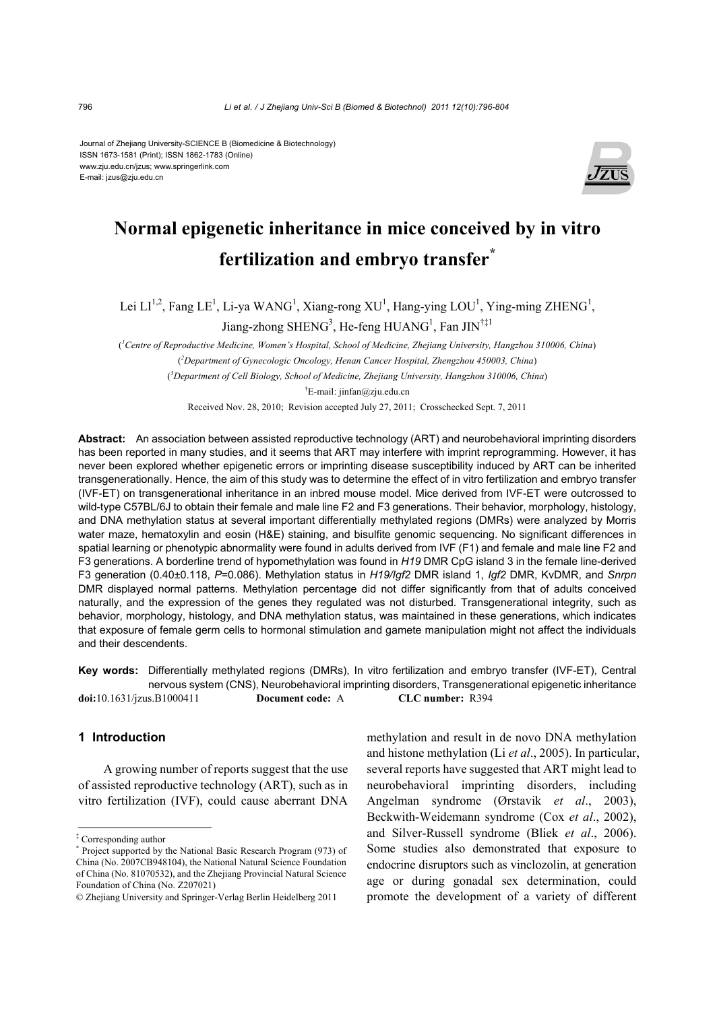Journal of Zhejiang University-SCIENCE B (Biomedicine & Biotechnology) ISSN 1673-1581 (Print); ISSN 1862-1783 (Online) www.zju.edu.cn/jzus; www.springerlink.com E-mail: jzus@zju.edu.cn



# **Normal epigenetic inheritance in mice conceived by in vitro fertilization and embryo transfer\***

Lei  $LI^{1,2}$ , Fang LE<sup>1</sup>, Li-ya WANG<sup>1</sup>, Xiang-rong XU<sup>1</sup>, Hang-ying LOU<sup>1</sup>, Ying-ming ZHENG<sup>1</sup>, Jiang-zhong SHENG<sup>3</sup>, He-feng HUANG<sup>1</sup>, Fan JIN<sup>†‡1</sup>

( *1 Centre of Reproductive Medicine, Women's Hospital, School of Medicine, Zhejiang University, Hangzhou 310006, China*) ( *2 Department of Gynecologic Oncology, Henan Cancer Hospital, Zhengzhou 450003, China*) ( *3 Department of Cell Biology, School of Medicine, Zhejiang University, Hangzhou 310006, China*) † E-mail: jinfan@zju.edu.cn

Received Nov. 28, 2010; Revision accepted July 27, 2011; Crosschecked Sept. 7, 2011

**Abstract:** An association between assisted reproductive technology (ART) and neurobehavioral imprinting disorders has been reported in many studies, and it seems that ART may interfere with imprint reprogramming. However, it has never been explored whether epigenetic errors or imprinting disease susceptibility induced by ART can be inherited transgenerationally. Hence, the aim of this study was to determine the effect of in vitro fertilization and embryo transfer (IVF-ET) on transgenerational inheritance in an inbred mouse model. Mice derived from IVF-ET were outcrossed to wild-type C57BL/6J to obtain their female and male line F2 and F3 generations. Their behavior, morphology, histology, and DNA methylation status at several important differentially methylated regions (DMRs) were analyzed by Morris water maze, hematoxylin and eosin (H&E) staining, and bisulfite genomic sequencing. No significant differences in spatial learning or phenotypic abnormality were found in adults derived from IVF (F1) and female and male line F2 and F3 generations. A borderline trend of hypomethylation was found in *H19* DMR CpG island 3 in the female line-derived F3 generation (0.40±0.118, *P*=0.086). Methylation status in *H19/Igf2* DMR island 1, *Igf2* DMR, KvDMR, and *Snrpn* DMR displayed normal patterns. Methylation percentage did not differ significantly from that of adults conceived naturally, and the expression of the genes they regulated was not disturbed. Transgenerational integrity, such as behavior, morphology, histology, and DNA methylation status, was maintained in these generations, which indicates that exposure of female germ cells to hormonal stimulation and gamete manipulation might not affect the individuals and their descendents.

**Key words:** Differentially methylated regions (DMRs), In vitro fertilization and embryo transfer (IVF-ET), Central nervous system (CNS), Neurobehavioral imprinting disorders, Transgenerational epigenetic inheritance **doi:**10.1631/jzus.B1000411 **Document code:** A **CLC number:** R394

## **1 Introduction**

A growing number of reports suggest that the use of assisted reproductive technology (ART), such as in vitro fertilization (IVF), could cause aberrant DNA

methylation and result in de novo DNA methylation and histone methylation (Li *et al*., 2005). In particular, several reports have suggested that ART might lead to neurobehavioral imprinting disorders, including Angelman syndrome (Ørstavik *et al*., 2003), Beckwith-Weidemann syndrome (Cox *et al*., 2002), and Silver-Russell syndrome (Bliek *et al*., 2006). Some studies also demonstrated that exposure to endocrine disruptors such as vinclozolin, at generation age or during gonadal sex determination, could promote the development of a variety of different

<sup>‡</sup> Corresponding author

<sup>\*</sup> Project supported by the National Basic Research Program (973) of China (No. 2007CB948104), the National Natural Science Foundation of China (No. 81070532), and the Zhejiang Provincial Natural Science Foundation of China (No. Z207021)

<sup>©</sup> Zhejiang University and Springer-Verlag Berlin Heidelberg 2011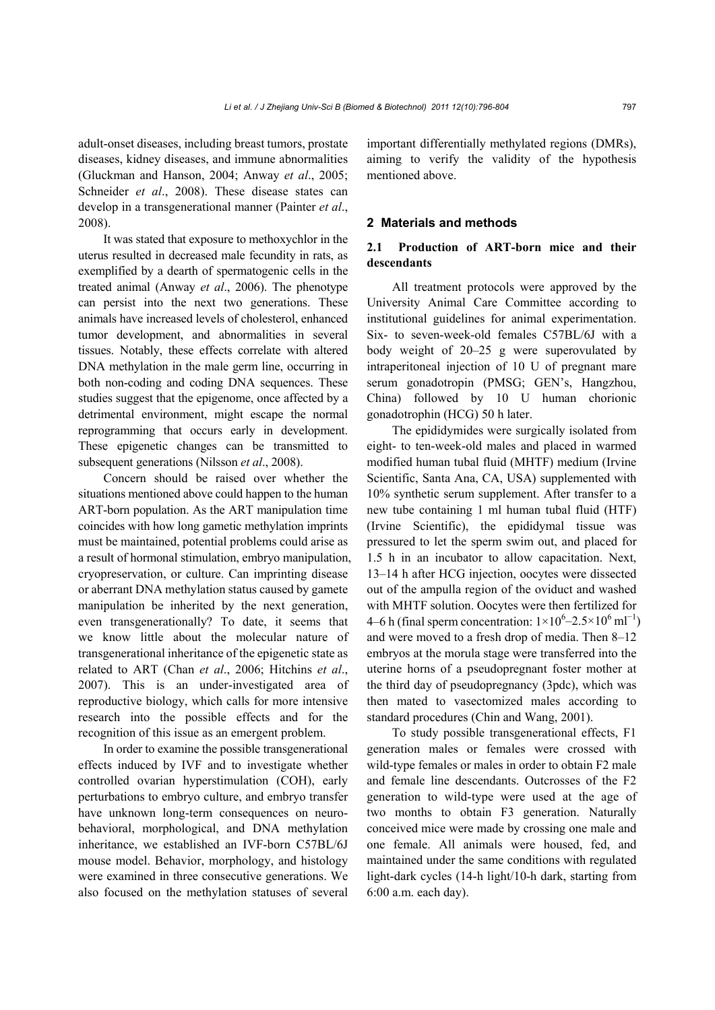adult-onset diseases, including breast tumors, prostate diseases, kidney diseases, and immune abnormalities (Gluckman and Hanson, 2004; Anway *et al*., 2005; Schneider *et al*., 2008). These disease states can develop in a transgenerational manner (Painter *et al*., 2008).

It was stated that exposure to methoxychlor in the uterus resulted in decreased male fecundity in rats, as exemplified by a dearth of spermatogenic cells in the treated animal (Anway *et al*., 2006). The phenotype can persist into the next two generations. These animals have increased levels of cholesterol, enhanced tumor development, and abnormalities in several tissues. Notably, these effects correlate with altered DNA methylation in the male germ line, occurring in both non-coding and coding DNA sequences. These studies suggest that the epigenome, once affected by a detrimental environment, might escape the normal reprogramming that occurs early in development. These epigenetic changes can be transmitted to subsequent generations (Nilsson *et al*., 2008).

Concern should be raised over whether the situations mentioned above could happen to the human ART-born population. As the ART manipulation time coincides with how long gametic methylation imprints must be maintained, potential problems could arise as a result of hormonal stimulation, embryo manipulation, cryopreservation, or culture. Can imprinting disease or aberrant DNA methylation status caused by gamete manipulation be inherited by the next generation, even transgenerationally? To date, it seems that we know little about the molecular nature of transgenerational inheritance of the epigenetic state as related to ART (Chan *et al*., 2006; Hitchins *et al*., 2007). This is an under-investigated area of reproductive biology, which calls for more intensive research into the possible effects and for the recognition of this issue as an emergent problem.

In order to examine the possible transgenerational effects induced by IVF and to investigate whether controlled ovarian hyperstimulation (COH), early perturbations to embryo culture, and embryo transfer have unknown long-term consequences on neurobehavioral, morphological, and DNA methylation inheritance, we established an IVF-born C57BL/6J mouse model. Behavior, morphology, and histology were examined in three consecutive generations. We also focused on the methylation statuses of several important differentially methylated regions (DMRs), aiming to verify the validity of the hypothesis mentioned above.

#### **2 Materials and methods**

# **2.1 Production of ART-born mice and their descendants**

All treatment protocols were approved by the University Animal Care Committee according to institutional guidelines for animal experimentation. Six- to seven-week-old females C57BL/6J with a body weight of 20–25 g were superovulated by intraperitoneal injection of 10 U of pregnant mare serum gonadotropin (PMSG; GEN's, Hangzhou, China) followed by 10 U human chorionic gonadotrophin (HCG) 50 h later.

The epididymides were surgically isolated from eight- to ten-week-old males and placed in warmed modified human tubal fluid (MHTF) medium (Irvine Scientific, Santa Ana, CA, USA) supplemented with 10% synthetic serum supplement. After transfer to a new tube containing 1 ml human tubal fluid (HTF) (Irvine Scientific), the epididymal tissue was pressured to let the sperm swim out, and placed for 1.5 h in an incubator to allow capacitation. Next, 13–14 h after HCG injection, oocytes were dissected out of the ampulla region of the oviduct and washed with MHTF solution. Oocytes were then fertilized for 4–6 h (final sperm concentration:  $1 \times 10^6$ –2.5×10<sup>6</sup> ml<sup>-1</sup>) and were moved to a fresh drop of media. Then 8–12 embryos at the morula stage were transferred into the uterine horns of a pseudopregnant foster mother at the third day of pseudopregnancy (3pdc), which was then mated to vasectomized males according to standard procedures (Chin and Wang, 2001).

To study possible transgenerational effects, F1 generation males or females were crossed with wild-type females or males in order to obtain F2 male and female line descendants. Outcrosses of the F2 generation to wild-type were used at the age of two months to obtain F3 generation. Naturally conceived mice were made by crossing one male and one female. All animals were housed, fed, and maintained under the same conditions with regulated light-dark cycles (14-h light/10-h dark, starting from 6:00 a.m. each day).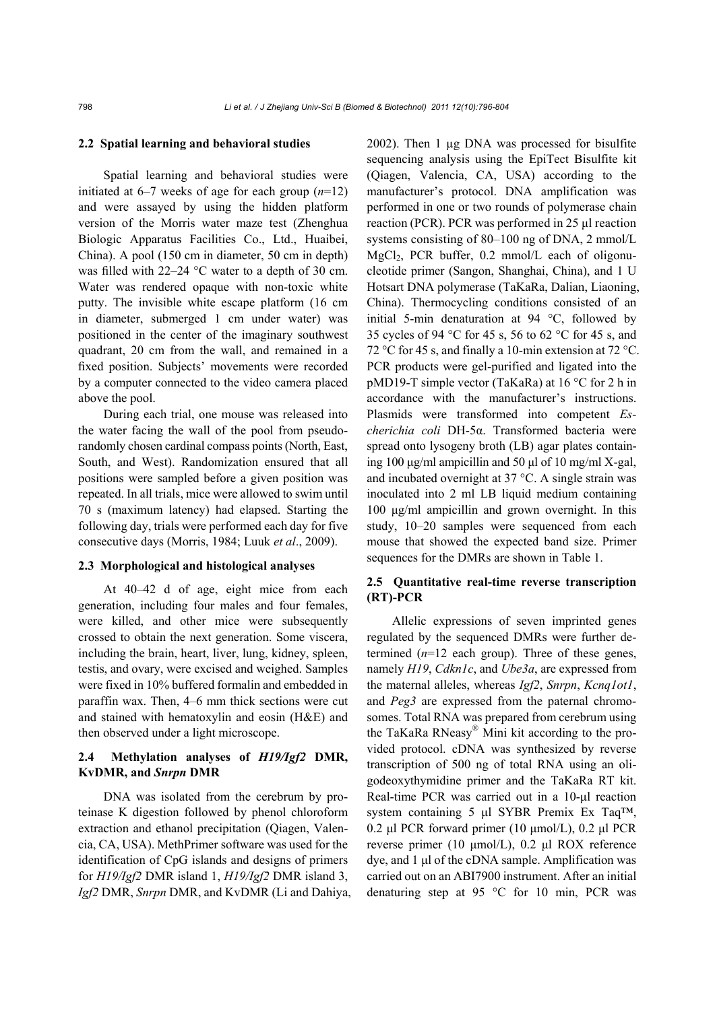#### **2.2 Spatial learning and behavioral studies**

Spatial learning and behavioral studies were initiated at 6–7 weeks of age for each group (*n*=12) and were assayed by using the hidden platform version of the Morris water maze test (Zhenghua Biologic Apparatus Facilities Co., Ltd., Huaibei, China). A pool (150 cm in diameter, 50 cm in depth) was filled with 22–24 °C water to a depth of 30 cm. Water was rendered opaque with non-toxic white putty. The invisible white escape platform (16 cm in diameter, submerged 1 cm under water) was positioned in the center of the imaginary southwest quadrant, 20 cm from the wall, and remained in a fixed position. Subjects' movements were recorded by a computer connected to the video camera placed above the pool.

During each trial, one mouse was released into the water facing the wall of the pool from pseudorandomly chosen cardinal compass points (North, East, South, and West). Randomization ensured that all positions were sampled before a given position was repeated. In all trials, mice were allowed to swim until 70 s (maximum latency) had elapsed. Starting the following day, trials were performed each day for five consecutive days (Morris, 1984; Luuk *et al*., 2009).

#### **2.3 Morphological and histological analyses**

At 40–42 d of age, eight mice from each generation, including four males and four females, were killed, and other mice were subsequently crossed to obtain the next generation. Some viscera, including the brain, heart, liver, lung, kidney, spleen, testis, and ovary, were excised and weighed. Samples were fixed in 10% buffered formalin and embedded in paraffin wax. Then, 4–6 mm thick sections were cut and stained with hematoxylin and eosin (H&E) and then observed under a light microscope.

# **2.4 Methylation analyses of** *H19/Igf2* **DMR, KvDMR, and** *Snrpn* **DMR**

DNA was isolated from the cerebrum by proteinase K digestion followed by phenol chloroform extraction and ethanol precipitation (Qiagen, Valencia, CA, USA). MethPrimer software was used for the identification of CpG islands and designs of primers for *H19/Igf2* DMR island 1, *H19/Igf2* DMR island 3, *Igf2* DMR, *Snrpn* DMR, and KvDMR (Li and Dahiya, 2002). Then 1 µg DNA was processed for bisulfite sequencing analysis using the EpiTect Bisulfite kit (Qiagen, Valencia, CA, USA) according to the manufacturer's protocol. DNA amplification was performed in one or two rounds of polymerase chain reaction (PCR). PCR was performed in 25 μl reaction systems consisting of 80–100 ng of DNA, 2 mmol/L MgCl2, PCR buffer, 0.2 mmol/L each of oligonucleotide primer (Sangon, Shanghai, China), and 1 U Hotsart DNA polymerase (TaKaRa, Dalian, Liaoning, China). Thermocycling conditions consisted of an initial 5-min denaturation at 94 °C, followed by 35 cycles of 94 °C for 45 s, 56 to 62 °C for 45 s, and 72 °C for 45 s, and finally a 10-min extension at 72 °C. PCR products were gel-purified and ligated into the pMD19-T simple vector (TaKaRa) at 16 °C for 2 h in accordance with the manufacturer's instructions. Plasmids were transformed into competent *Escherichia coli* DH-5α. Transformed bacteria were spread onto lysogeny broth (LB) agar plates containing 100 μg/ml ampicillin and 50 μl of 10 mg/ml X-gal, and incubated overnight at 37 °C. A single strain was inoculated into 2 ml LB liquid medium containing 100 μg/ml ampicillin and grown overnight. In this study, 10–20 samples were sequenced from each mouse that showed the expected band size. Primer sequences for the DMRs are shown in Table 1.

## **2.5 Quantitative real-time reverse transcription (RT)-PCR**

Allelic expressions of seven imprinted genes regulated by the sequenced DMRs were further determined  $(n=12 \text{ each group})$ . Three of these genes, namely *H19*, *Cdkn1c*, and *Ube3a*, are expressed from the maternal alleles, whereas *Igf2*, *Snrpn*, *Kcnq1ot1*, and *Peg3* are expressed from the paternal chromosomes. Total RNA was prepared from cerebrum using the TaKaRa RNeasy® Mini kit according to the provided protocol. cDNA was synthesized by reverse transcription of 500 ng of total RNA using an oligodeoxythymidine primer and the TaKaRa RT kit. Real-time PCR was carried out in a 10-μl reaction system containing 5 μl SYBR Premix Ex Taq™, 0.2 μl PCR forward primer (10 μmol/L), 0.2 μl PCR reverse primer (10 μmol/L), 0.2 μl ROX reference dye, and 1 μl of the cDNA sample. Amplification was carried out on an ABI7900 instrument. After an initial denaturing step at 95 °C for 10 min, PCR was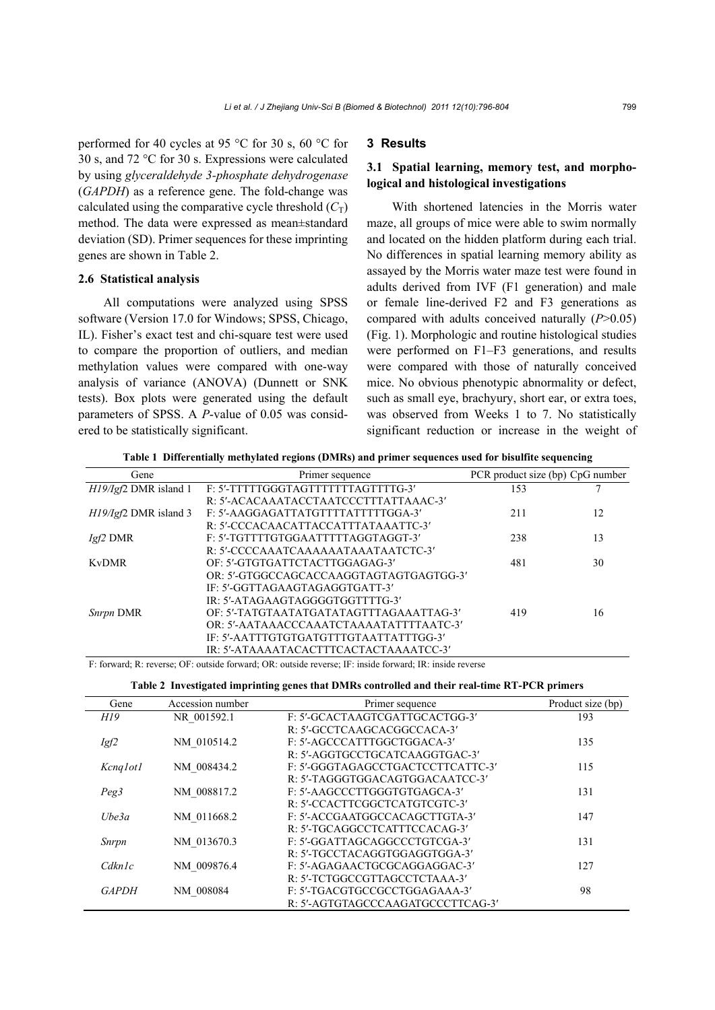performed for 40 cycles at 95 °C for 30 s, 60 °C for 30 s, and 72 °C for 30 s. Expressions were calculated by using *glyceraldehyde 3-phosphate dehydrogenase* (*GAPDH*) as a reference gene. The fold-change was calculated using the comparative cycle threshold  $(C_T)$ method. The data were expressed as mean±standard deviation (SD). Primer sequences for these imprinting genes are shown in Table 2.

#### **2.6 Statistical analysis**

All computations were analyzed using SPSS software (Version 17.0 for Windows; SPSS, Chicago, IL). Fisher's exact test and chi-square test were used to compare the proportion of outliers, and median methylation values were compared with one-way analysis of variance (ANOVA) (Dunnett or SNK tests). Box plots were generated using the default parameters of SPSS. A *P*-value of 0.05 was considered to be statistically significant.

## **3 Results**

# **3.1 Spatial learning, memory test, and morphological and histological investigations**

With shortened latencies in the Morris water maze, all groups of mice were able to swim normally and located on the hidden platform during each trial. No differences in spatial learning memory ability as assayed by the Morris water maze test were found in adults derived from IVF (F1 generation) and male or female line-derived F2 and F3 generations as compared with adults conceived naturally (*P*>0.05) (Fig. 1). Morphologic and routine histological studies were performed on F1–F3 generations, and results were compared with those of naturally conceived mice. No obvious phenotypic abnormality or defect, such as small eye, brachyury, short ear, or extra toes, was observed from Weeks 1 to 7. No statistically significant reduction or increase in the weight of

**Table 1 Differentially methylated regions (DMRs) and primer sequences used for bisulfite sequencing** 

| Gene                    | Primer sequence                         | PCR product size (bp) CpG number |    |
|-------------------------|-----------------------------------------|----------------------------------|----|
| $H19/Igf2$ DMR island 1 | F: 5'-TTTTTGGGTAGTTTTTTTAGTTTTG-3'      | 153                              |    |
|                         | R: 5'-ACACAAATACCTAATCCCTTTATTAAAC-3'   |                                  |    |
| $H19/Igf2$ DMR island 3 | F: 5'-AAGGAGATTATGTTTTATTTTGGA-3'       | 211                              | 12 |
|                         | R: 5'-CCCACAACATTACCATTTATAAATTC-3'     |                                  |    |
| $Igf2$ DMR              | F: 5'-TGTTTTGTGGAATTTTTAGGTAGGT-3'      | 238                              | 13 |
|                         | R: 5'-CCCCAAATCAAAAAATAAATAATCTC-3'     |                                  |    |
| <b>KyDMR</b>            | OF: 5'-GTGTGATTCTACTTGGAGAG-3'          | 481                              | 30 |
|                         | OR: 5'-GTGGCCAGCACCAAGGTAGTAGTGAGTGG-3' |                                  |    |
|                         | IF: 5'-GGTTAGAAGTAGAGGTGATT-3'          |                                  |    |
|                         | IR: 5'-ATAGAAGTAGGGGTGGTTTTG-3'         |                                  |    |
| Snrpn DMR               | OF: 5'-TATGTAATATGATATAGTTTAGAAATTAG-3' | 419                              | 16 |
|                         | OR: 5'-AATAAACCCAAATCTAAAATATTTTAATC-3' |                                  |    |
|                         | IF: 5'-AATTTGTGTGATGTTTGTAATTATTTGG-3'  |                                  |    |
|                         | IR: 5'-ATAAAATACACTTTCACTACTAAAATCC-3'  |                                  |    |

F: forward; R: reverse; OF: outside forward; OR: outside reverse; IF: inside forward; IR: inside reverse

| Gene         | Accession number | Primer sequence                   | Product size (bp) |
|--------------|------------------|-----------------------------------|-------------------|
| H19          | NR 001592.1      | F: 5'-GCACTAAGTCGATTGCACTGG-3'    | 193               |
|              |                  | R: 5'-GCCTCAAGCACGGCCACA-3'       |                   |
| Igf2         | NM 010514.2      | F: 5'-AGCCCATTTGGCTGGACA-3'       | 135               |
|              |                  | R: 5'-AGGTGCCTGCATCAAGGTGAC-3'    |                   |
| Kcnq1ot1     | NM 008434.2      | F: 5'-GGGTAGAGCCTGACTCCTTCATTC-3' | 115               |
|              |                  | R: 5'-TAGGGTGGACAGTGGACAATCC-3'   |                   |
| Peg3         | NM 008817.2      | F: 5'-AAGCCCTTGGGTGTGAGCA-3'      | 131               |
|              |                  | R: 5'-CCACTTCGGCTCATGTCGTC-3'     |                   |
| Ube3a        | NM 011668.2      | F: 5'-ACCGAATGGCCACAGCTTGTA-3'    | 147               |
|              |                  | R: 5'-TGCAGGCCTCATTTCCACAG-3'     |                   |
| Snrpn        | NM 013670.3      | F: 5'-GGATTAGCAGGCCCTGTCGA-3'     | 131               |
|              |                  | R: 5'-TGCCTACAGGTGGAGGTGGA-3'     |                   |
| Cdknlc       | NM 009876.4      | F: 5'-AGAGAACTGCGCAGGAGGAC-3'     | 127               |
|              |                  | R: 5'-TCTGGCCGTTAGCCTCTAAA-3'     |                   |
| <b>GAPDH</b> | NM 008084        | F: 5'-TGACGTGCCGCCTGGAGAAA-3'     | 98                |
|              |                  | R: 5'-AGTGTAGCCCAAGATGCCCTTCAG-3' |                   |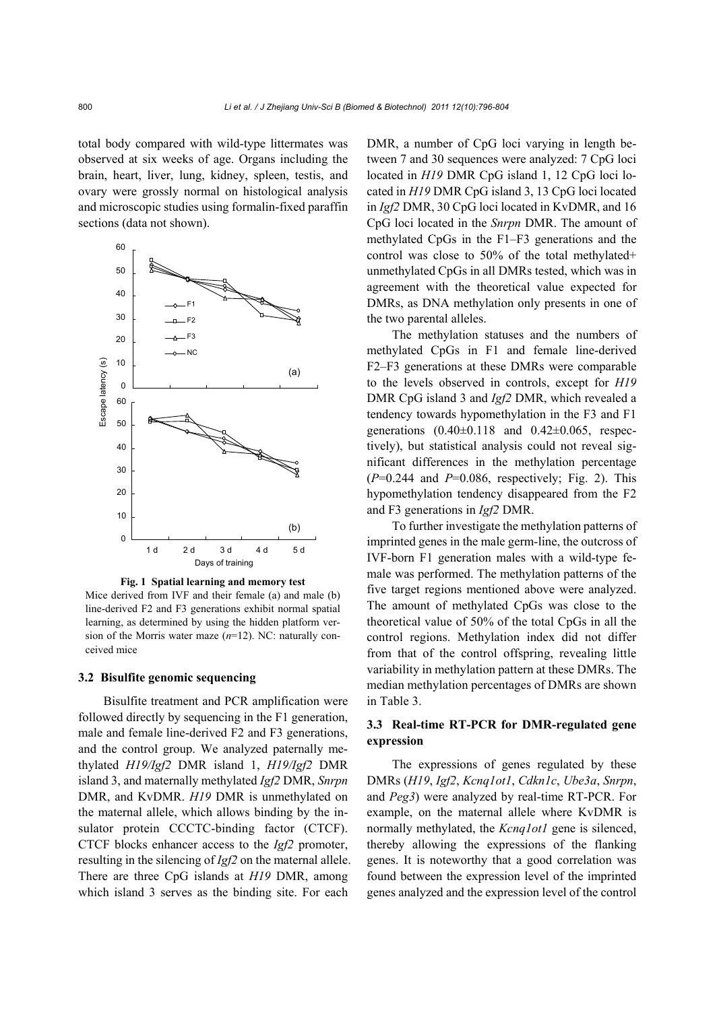total body compared with wild-type littermates was observed at six weeks of age. Organs including the brain, heart, liver, lung, kidney, spleen, testis, and ovary were grossly normal on histological analysis and microscopic studies using formalin-fixed paraffin sections (data not shown).



**Fig. 1 Spatial learning and memory test** Mice derived from IVF and their female (a) and male (b) line-derived F2 and F3 generations exhibit normal spatial learning, as determined by using the hidden platform version of the Morris water maze (*n*=12). NC: naturally conceived mice

#### **3.2 Bisulfite genomic sequencing**

Bisulfite treatment and PCR amplification were followed directly by sequencing in the F1 generation, male and female line-derived F2 and F3 generations, and the control group. We analyzed paternally methylated *H19/Igf2* DMR island 1, *H19/Igf2* DMR island 3, and maternally methylated *Igf2* DMR, *Snrpn* DMR, and KvDMR. *H19* DMR is unmethylated on the maternal allele, which allows binding by the insulator protein CCCTC-binding factor (CTCF). CTCF blocks enhancer access to the *Igf2* promoter, resulting in the silencing of *Igf2* on the maternal allele. There are three CpG islands at *H19* DMR, among which island 3 serves as the binding site. For each DMR, a number of CpG loci varying in length between 7 and 30 sequences were analyzed: 7 CpG loci located in *H19* DMR CpG island 1, 12 CpG loci located in *H19* DMR CpG island 3, 13 CpG loci located in *Igf2* DMR, 30 CpG loci located in KvDMR, and 16 CpG loci located in the *Snrpn* DMR. The amount of methylated CpGs in the F1–F3 generations and the control was close to 50% of the total methylated+ unmethylated CpGs in all DMRs tested, which was in agreement with the theoretical value expected for DMRs, as DNA methylation only presents in one of the two parental alleles.

The methylation statuses and the numbers of methylated CpGs in F1 and female line-derived F2–F3 generations at these DMRs were comparable to the levels observed in controls, except for *H19* DMR CpG island 3 and *Igf2* DMR, which revealed a tendency towards hypomethylation in the F3 and F1 generations  $(0.40 \pm 0.118$  and  $0.42 \pm 0.065$ , respectively), but statistical analysis could not reveal significant differences in the methylation percentage  $(P=0.244$  and  $P=0.086$ , respectively; Fig. 2). This hypomethylation tendency disappeared from the F2 and F3 generations in *Igf2* DMR.

To further investigate the methylation patterns of imprinted genes in the male germ-line, the outcross of IVF-born F1 generation males with a wild-type female was performed. The methylation patterns of the five target regions mentioned above were analyzed. The amount of methylated CpGs was close to the theoretical value of 50% of the total CpGs in all the control regions. Methylation index did not differ from that of the control offspring, revealing little variability in methylation pattern at these DMRs. The median methylation percentages of DMRs are shown in Table 3.

# **3.3 Real-time RT-PCR for DMR-regulated gene expression**

The expressions of genes regulated by these DMRs (*H19*, *Igf2*, *Kcnq1ot1*, *Cdkn1c*, *Ube3a*, *Snrpn*, and *Peg3*) were analyzed by real-time RT-PCR. For example, on the maternal allele where KvDMR is normally methylated, the *Kcnq1ot1* gene is silenced, thereby allowing the expressions of the flanking genes. It is noteworthy that a good correlation was found between the expression level of the imprinted genes analyzed and the expression level of the control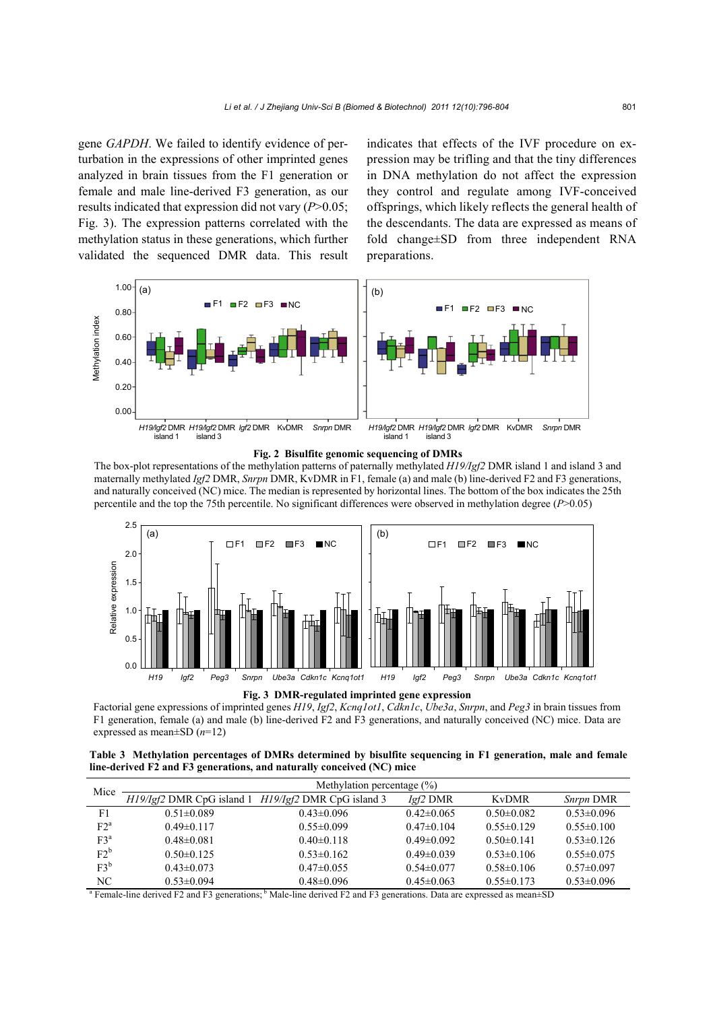gene *GAPDH*. We failed to identify evidence of perturbation in the expressions of other imprinted genes analyzed in brain tissues from the F1 generation or female and male line-derived F3 generation, as our results indicated that expression did not vary (*P*>0.05; Fig. 3). The expression patterns correlated with the methylation status in these generations, which further validated the sequenced DMR data. This result indicates that effects of the IVF procedure on expression may be trifling and that the tiny differences in DNA methylation do not affect the expression they control and regulate among IVF-conceived offsprings, which likely reflects the general health of the descendants. The data are expressed as means of fold change±SD from three independent RNA preparations.





The box-plot representations of the methylation patterns of paternally methylated *H19/Igf2* DMR island 1 and island 3 and maternally methylated *Igf2* DMR, *Snrpn* DMR, KvDMR in F1, female (a) and male (b) line-derived F2 and F3 generations, and naturally conceived (NC) mice. The median is represented by horizontal lines. The bottom of the box indicates the 25th percentile and the top the 75th percentile. No significant differences were observed in methylation degree (*P*>0.05)



**Fig. 3 DMR-regulated imprinted gene expression** 

Factorial gene expressions of imprinted genes *H19*, *Igf2*, *Kcnq1ot1*, *Cdkn1c*, *Ube3a*, *Snrpn*, and *Peg3* in brain tissues from F1 generation, female (a) and male (b) line-derived F2 and F3 generations, and naturally conceived (NC) mice. Data are

**Table 3 Methylation percentages of DMRs determined by bisulfite sequencing in F1 generation, male and female line-derived F2 and F3 generations, and naturally conceived (NC) mice** 

| Mice                                                                                                                                               | Methylation percentage $(\% )$ |                                                     |                  |                  |                  |  |
|----------------------------------------------------------------------------------------------------------------------------------------------------|--------------------------------|-----------------------------------------------------|------------------|------------------|------------------|--|
|                                                                                                                                                    |                                | H19/Igf2 DMR CpG island 1 H19/Igf2 DMR CpG island 3 | $Igf2$ DMR       | <b>KyDMR</b>     | Snrpn DMR        |  |
| F1                                                                                                                                                 | $0.51 \pm 0.089$               | $0.43 \pm 0.096$                                    | $0.42\pm0.065$   | $0.50 \pm 0.082$ | $0.53 \pm 0.096$ |  |
| $F2^a$                                                                                                                                             | $0.49 \pm 0.117$               | $0.55 \pm 0.099$                                    | $0.47\pm 0.104$  | $0.55 \pm 0.129$ | $0.55 \pm 0.100$ |  |
| $F3^a$                                                                                                                                             | $0.48 \pm 0.081$               | $0.40 \pm 0.118$                                    | $0.49 \pm 0.092$ | $0.50 \pm 0.141$ | $0.53\pm0.126$   |  |
| $F2^b$                                                                                                                                             | $0.50 \pm 0.125$               | $0.53\pm0.162$                                      | $0.49 \pm 0.039$ | $0.53\pm0.106$   | $0.55 \pm 0.075$ |  |
| $F3^b$                                                                                                                                             | $0.43 \pm 0.073$               | $0.47\pm0.055$                                      | $0.54\pm0.077$   | $0.58\pm0.106$   | $0.57 \pm 0.097$ |  |
| NC                                                                                                                                                 | $0.53 \pm 0.094$               | $0.48 \pm 0.096$                                    | $0.45 \pm 0.063$ | $0.55 \pm 0.173$ | $0.53 \pm 0.096$ |  |
| <sup>a</sup> Female-line derived F2 and F3 generations; $\frac{6}{5}$ Male-line derived F2 and F3 generations. Data are expressed as mean $\pm$ SD |                                |                                                     |                  |                  |                  |  |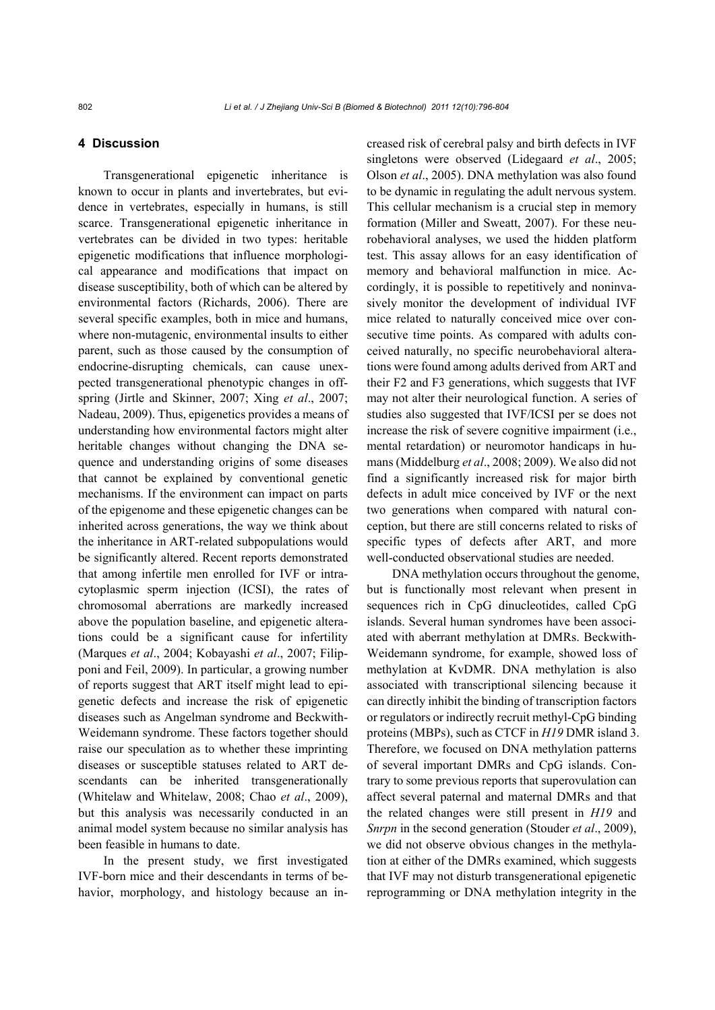## **4 Discussion**

Transgenerational epigenetic inheritance is known to occur in plants and invertebrates, but evidence in vertebrates, especially in humans, is still scarce. Transgenerational epigenetic inheritance in vertebrates can be divided in two types: heritable epigenetic modifications that influence morphological appearance and modifications that impact on disease susceptibility, both of which can be altered by environmental factors (Richards, 2006). There are several specific examples, both in mice and humans, where non-mutagenic, environmental insults to either parent, such as those caused by the consumption of endocrine-disrupting chemicals, can cause unexpected transgenerational phenotypic changes in offspring (Jirtle and Skinner, 2007; Xing *et al*., 2007; Nadeau, 2009). Thus, epigenetics provides a means of understanding how environmental factors might alter heritable changes without changing the DNA sequence and understanding origins of some diseases that cannot be explained by conventional genetic mechanisms. If the environment can impact on parts of the epigenome and these epigenetic changes can be inherited across generations, the way we think about the inheritance in ART-related subpopulations would be significantly altered. Recent reports demonstrated that among infertile men enrolled for IVF or intracytoplasmic sperm injection (ICSI), the rates of chromosomal aberrations are markedly increased above the population baseline, and epigenetic alterations could be a significant cause for infertility (Marques *et al*., 2004; Kobayashi *et al*., 2007; Filipponi and Feil, 2009). In particular, a growing number of reports suggest that ART itself might lead to epigenetic defects and increase the risk of epigenetic diseases such as Angelman syndrome and Beckwith-Weidemann syndrome. These factors together should raise our speculation as to whether these imprinting diseases or susceptible statuses related to ART descendants can be inherited transgenerationally (Whitelaw and Whitelaw, 2008; Chao *et al*., 2009), but this analysis was necessarily conducted in an animal model system because no similar analysis has been feasible in humans to date.

In the present study, we first investigated IVF-born mice and their descendants in terms of behavior, morphology, and histology because an increased risk of cerebral palsy and birth defects in IVF singletons were observed (Lidegaard *et al*., 2005; Olson *et al*., 2005). DNA methylation was also found to be dynamic in regulating the adult nervous system. This cellular mechanism is a crucial step in memory formation (Miller and Sweatt, 2007). For these neurobehavioral analyses, we used the hidden platform test. This assay allows for an easy identification of memory and behavioral malfunction in mice. Accordingly, it is possible to repetitively and noninvasively monitor the development of individual IVF mice related to naturally conceived mice over consecutive time points. As compared with adults conceived naturally, no specific neurobehavioral alterations were found among adults derived from ART and their F2 and F3 generations, which suggests that IVF may not alter their neurological function. A series of studies also suggested that IVF/ICSI per se does not increase the risk of severe cognitive impairment (i.e., mental retardation) or neuromotor handicaps in humans (Middelburg *et al*., 2008; 2009). We also did not find a significantly increased risk for major birth defects in adult mice conceived by IVF or the next two generations when compared with natural conception, but there are still concerns related to risks of specific types of defects after ART, and more well-conducted observational studies are needed.

DNA methylation occurs throughout the genome, but is functionally most relevant when present in sequences rich in CpG dinucleotides, called CpG islands. Several human syndromes have been associated with aberrant methylation at DMRs. Beckwith-Weidemann syndrome, for example, showed loss of methylation at KvDMR. DNA methylation is also associated with transcriptional silencing because it can directly inhibit the binding of transcription factors or regulators or indirectly recruit methyl-CpG binding proteins (MBPs), such as CTCF in *H19* DMR island 3. Therefore, we focused on DNA methylation patterns of several important DMRs and CpG islands. Contrary to some previous reports that superovulation can affect several paternal and maternal DMRs and that the related changes were still present in *H19* and *Snrpn* in the second generation (Stouder *et al*., 2009), we did not observe obvious changes in the methylation at either of the DMRs examined, which suggests that IVF may not disturb transgenerational epigenetic reprogramming or DNA methylation integrity in the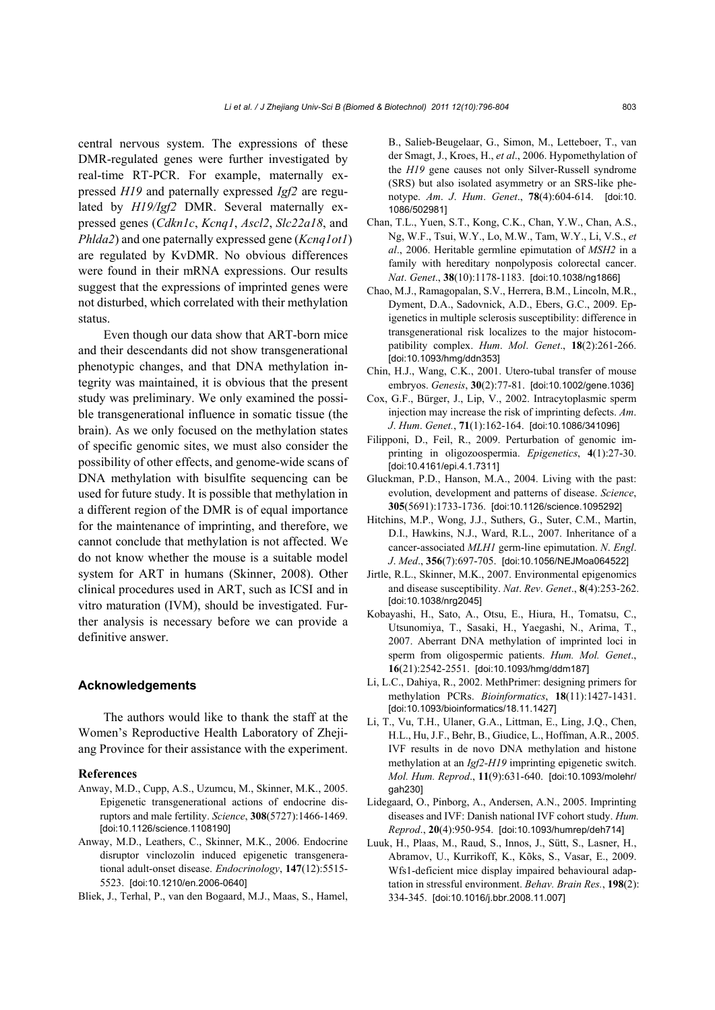central nervous system. The expressions of these DMR-regulated genes were further investigated by real-time RT-PCR. For example, maternally expressed *H19* and paternally expressed *Igf2* are regulated by *H19/Igf2* DMR. Several maternally expressed genes (*Cdkn1c*, *Kcnq1*, *Ascl2*, *Slc22a18*, and *Phlda2*) and one paternally expressed gene (*Kcnq1ot1*) are regulated by KvDMR. No obvious differences were found in their mRNA expressions. Our results suggest that the expressions of imprinted genes were not disturbed, which correlated with their methylation status.

Even though our data show that ART-born mice and their descendants did not show transgenerational phenotypic changes, and that DNA methylation integrity was maintained, it is obvious that the present study was preliminary. We only examined the possible transgenerational influence in somatic tissue (the brain). As we only focused on the methylation states of specific genomic sites, we must also consider the possibility of other effects, and genome-wide scans of DNA methylation with bisulfite sequencing can be used for future study. It is possible that methylation in a different region of the DMR is of equal importance for the maintenance of imprinting, and therefore, we cannot conclude that methylation is not affected. We do not know whether the mouse is a suitable model system for ART in humans (Skinner, 2008). Other clinical procedures used in ART, such as ICSI and in vitro maturation (IVM), should be investigated. Further analysis is necessary before we can provide a definitive answer.

#### **Acknowledgements**

The authors would like to thank the staff at the Women's Reproductive Health Laboratory of Zhejiang Province for their assistance with the experiment.

#### **References**

- Anway, M.D., Cupp, A.S., Uzumcu, M., Skinner, M.K., 2005. Epigenetic transgenerational actions of endocrine disruptors and male fertility. *Science*, **308**(5727):1466-1469. [doi:10.1126/science.1108190]
- Anway, M.D., Leathers, C., Skinner, M.K., 2006. Endocrine disruptor vinclozolin induced epigenetic transgenerational adult-onset disease. *Endocrinology*, **147**(12):5515- 5523. [doi:10.1210/en.2006-0640]

Bliek, J., Terhal, P., van den Bogaard, M.J., Maas, S., Hamel,

B., Salieb-Beugelaar, G., Simon, M., Letteboer, T., van der Smagt, J., Kroes, H., *et al*., 2006. Hypomethylation of the *H19* gene causes not only Silver-Russell syndrome (SRS) but also isolated asymmetry or an SRS-like phenotype. *Am*. *J*. *Hum*. *Genet*., **78**(4):604-614. [doi:10. 1086/502981]

- Chan, T.L., Yuen, S.T., Kong, C.K., Chan, Y.W., Chan, A.S., Ng, W.F., Tsui, W.Y., Lo, M.W., Tam, W.Y., Li, V.S., *et al*., 2006. Heritable germline epimutation of *MSH2* in a family with hereditary nonpolyposis colorectal cancer. *Nat*. *Genet*., **38**(10):1178-1183. [doi:10.1038/ng1866]
- Chao, M.J., Ramagopalan, S.V., Herrera, B.M., Lincoln, M.R., Dyment, D.A., Sadovnick, A.D., Ebers, G.C., 2009. Epigenetics in multiple sclerosis susceptibility: difference in transgenerational risk localizes to the major histocompatibility complex. *Hum*. *Mol*. *Genet*., **18**(2):261-266. [doi:10.1093/hmg/ddn353]
- Chin, H.J., Wang, C.K., 2001. Utero-tubal transfer of mouse embryos. *Genesis*, **30**(2):77-81. [doi:10.1002/gene.1036]
- Cox, G.F., Bürger, J., Lip, V., 2002. Intracytoplasmic sperm injection may increase the risk of imprinting defects. *Am*. *J*. *Hum*. *Genet.*, **71**(1):162-164. [doi:10.1086/341096]
- Filipponi, D., Feil, R., 2009. Perturbation of genomic imprinting in oligozoospermia. *Epigenetics*, **4**(1):27-30. [doi:10.4161/epi.4.1.7311]
- Gluckman, P.D., Hanson, M.A., 2004. Living with the past: evolution, development and patterns of disease. *Science*, **305**(5691):1733-1736. [doi:10.1126/science.1095292]
- Hitchins, M.P., Wong, J.J., Suthers, G., Suter, C.M., Martin, D.I., Hawkins, N.J., Ward, R.L., 2007. Inheritance of a cancer-associated *MLH1* germ-line epimutation. *N*. *Engl*. *J*. *Med*., **356**(7):697-705. [doi:10.1056/NEJMoa064522]
- Jirtle, R.L., Skinner, M.K., 2007. Environmental epigenomics and disease susceptibility. *Nat*. *Rev*. *Genet*., **8**(4):253-262. [doi:10.1038/nrg2045]
- Kobayashi, H., Sato, A., Otsu, E., Hiura, H., Tomatsu, C., Utsunomiya, T., Sasaki, H., Yaegashi, N., Arima, T., 2007. Aberrant DNA methylation of imprinted loci in sperm from oligospermic patients. *Hum. Mol. Genet*., **16**(21):2542-2551. [doi:10.1093/hmg/ddm187]
- Li, L.C., Dahiya, R., 2002. MethPrimer: designing primers for methylation PCRs. *Bioinformatics*, **18**(11):1427-1431. [doi:10.1093/bioinformatics/18.11.1427]
- Li, T., Vu, T.H., Ulaner, G.A., Littman, E., Ling, J.Q., Chen, H.L., Hu, J.F., Behr, B., Giudice, L., Hoffman, A.R., 2005. IVF results in de novo DNA methylation and histone methylation at an *Igf2-H19* imprinting epigenetic switch. *Mol. Hum. Reprod*., **11**(9):631-640. [doi:10.1093/molehr/ gah230]
- Lidegaard, O., Pinborg, A., Andersen, A.N., 2005. Imprinting diseases and IVF: Danish national IVF cohort study. *Hum. Reprod*., **20**(4):950-954. [doi:10.1093/humrep/deh714]
- Luuk, H., Plaas, M., Raud, S., Innos, J., Sütt, S., Lasner, H., Abramov, U., Kurrikoff, K., Kõks, S., Vasar, E., 2009. Wfs1-deficient mice display impaired behavioural adaptation in stressful environment. *Behav. Brain Res.*, **198**(2): 334-345. [doi:10.1016/j.bbr.2008.11.007]